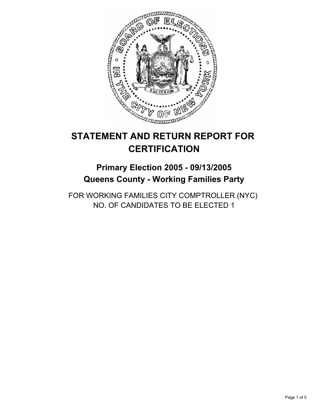

# **STATEMENT AND RETURN REPORT FOR CERTIFICATION**

# **Primary Election 2005 - 09/13/2005 Queens County - Working Families Party**

FOR WORKING FAMILIES CITY COMPTROLLER (NYC) NO. OF CANDIDATES TO BE ELECTED 1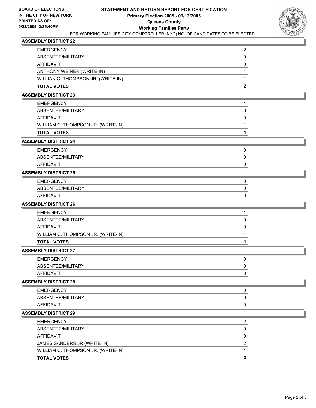| <b>TOTAL VOTES</b>                 |  |
|------------------------------------|--|
| WILLIAN C. THOMPSON JR. (WRITE-IN) |  |
| ANTHONY WEINER (WRITE-IN)          |  |
| AFFIDAVIT                          |  |
| ABSENTEE/MILITARY                  |  |
| <b>EMERGENCY</b>                   |  |

### **ASSEMBLY DISTRICT 23**

| EMERGENCY                          |  |
|------------------------------------|--|
| ABSENTEE/MILITARY                  |  |
| AFFIDAVIT                          |  |
| WILLIAM C. THOMPSON JR. (WRITE-IN) |  |
| TOTAL VOTES                        |  |

## **ASSEMBLY DISTRICT 24**

| <b>EMERGENCY</b>  |  |
|-------------------|--|
| ABSENTEE/MILITARY |  |
| AFFIDAVIT         |  |

# **ASSEMBLY DISTRICT 25**

| <b>EMERGENCY</b>  |  |
|-------------------|--|
| ABSENTEE/MILITARY |  |
| AFFIDAVIT         |  |

### **ASSEMBLY DISTRICT 26**

| EMERGENCY                          |  |
|------------------------------------|--|
| ABSENTEE/MILITARY                  |  |
| AFFIDAVIT                          |  |
| WILLIAM C. THOMPSON JR. (WRITE-IN) |  |
| TOTAL VOTES                        |  |

## **ASSEMBLY DISTRICT 27**

| <b>EMERGENCY</b>  |  |
|-------------------|--|
| ABSENTEE/MILITARY |  |
| AFFIDAVIT         |  |

#### **ASSEMBLY DISTRICT 28**

| <b>EMERGENCY</b>  |  |
|-------------------|--|
| ABSENTEE/MILITARY |  |
| AFFIDAVIT         |  |

| <b>EMERGENCY</b>                   |  |
|------------------------------------|--|
| ABSENTEE/MILITARY                  |  |
| AFFIDAVIT                          |  |
| JAMES SANDERS JR (WRITE-IN)        |  |
| WILLIAM C. THOMPSON JR. (WRITE-IN) |  |
| <b>TOTAL VOTES</b>                 |  |
|                                    |  |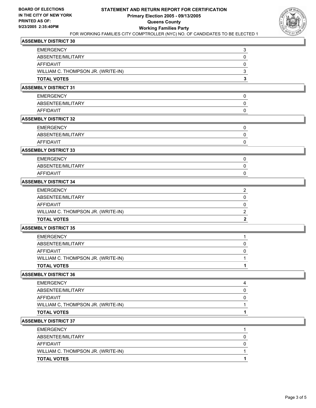

| EMERGENCY                          |  |
|------------------------------------|--|
| ABSENTEE/MILITARY                  |  |
| AFFIDAVIT                          |  |
| WILLIAM C. THOMPSON JR. (WRITE-IN) |  |
| <b>TOTAL VOTES</b>                 |  |

#### **ASSEMBLY DISTRICT 31**

| <b>EMERGENCY</b>  |  |
|-------------------|--|
| ABSENTEE/MILITARY |  |
| AFFIDAVIT         |  |

### **ASSEMBLY DISTRICT 32**

| ABSENTEE/MILITARY |  |
|-------------------|--|

# **ASSEMBLY DISTRICT 33**

| <b>EMERGENCY</b>  |  |
|-------------------|--|
| ABSENTEE/MILITARY |  |
| AFFIDAVIT         |  |

### **ASSEMBLY DISTRICT 34**

| <b>EMERGENCY</b>                   |  |
|------------------------------------|--|
| ABSENTEE/MILITARY                  |  |
| AFFIDAVIT                          |  |
| WILLIAM C. THOMPSON JR. (WRITE-IN) |  |
| <b>TOTAL VOTES</b>                 |  |

#### **ASSEMBLY DISTRICT 35**

| EMERGENCY                          |  |
|------------------------------------|--|
| ABSENTEE/MILITARY                  |  |
| AFFIDAVIT                          |  |
| WILLIAM C. THOMPSON JR. (WRITE-IN) |  |
| TOTAL VOTES                        |  |

#### **ASSEMBLY DISTRICT 36**

| <b>TOTAL VOTES</b>                 |  |
|------------------------------------|--|
| WILLIAM C, THOMPSON JR. (WRITE-IN) |  |
| <b>AFFIDAVIT</b>                   |  |
| ABSENTEE/MILITARY                  |  |
| <b>EMERGENCY</b>                   |  |

| WILLIAM C. THOMPSON JR. (WRITE-IN)<br><b>TOTAL VOTES</b> |  |
|----------------------------------------------------------|--|
|                                                          |  |
| AFFIDAVIT                                                |  |
| ABSENTEE/MILITARY                                        |  |
| <b>EMERGENCY</b>                                         |  |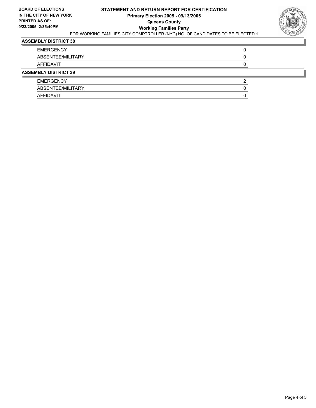

| <b>EMERGENCY</b>            |  |
|-----------------------------|--|
| ABSENTEE/MILITARY           |  |
| AFFIDAVIT                   |  |
| <b>ASSEMBLY DISTRICT 39</b> |  |
| <b>EMERGENCY</b>            |  |
| ABSENTEE/MILITARY           |  |
| AFFIDAVIT                   |  |
|                             |  |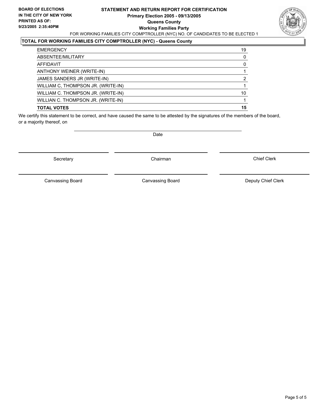#### **STATEMENT AND RETURN REPORT FOR CERTIFICATION Primary Election 2005 - 09/13/2005 Queens County Working Families Party** FOR WORKING FAMILIES CITY COMPTROLLER (NYC) NO. OF CANDIDATES TO BE ELECTED 1



## **TOTAL FOR WORKING FAMILIES CITY COMPTROLLER (NYC) - Queens County**

| <b>EMERGENCY</b>                   | 19 |
|------------------------------------|----|
| ABSENTEE/MILITARY                  |    |
| AFFIDAVIT                          |    |
| ANTHONY WEINER (WRITE-IN)          |    |
| JAMES SANDERS JR (WRITE-IN)        |    |
| WILLIAM C, THOMPSON JR. (WRITE-IN) |    |
| WILLIAM C. THOMPSON JR. (WRITE-IN) | 10 |
| WILLIAN C. THOMPSON JR. (WRITE-IN) |    |
| <b>TOTAL VOTES</b>                 | 15 |
|                                    |    |

We certify this statement to be correct, and have caused the same to be attested by the signatures of the members of the board, or a majority thereof, on

Secretary **Chairman** 

Date

Chief Clerk

Canvassing Board

Canvassing Board **Canvassing Canvassing Board** Deputy Chief Clerk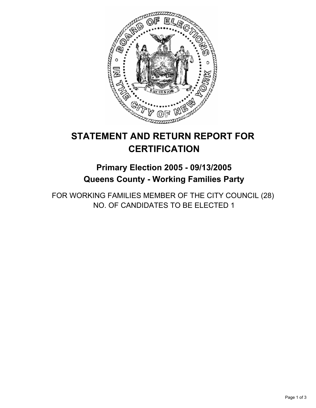

# **STATEMENT AND RETURN REPORT FOR CERTIFICATION**

# **Primary Election 2005 - 09/13/2005 Queens County - Working Families Party**

FOR WORKING FAMILIES MEMBER OF THE CITY COUNCIL (28) NO. OF CANDIDATES TO BE ELECTED 1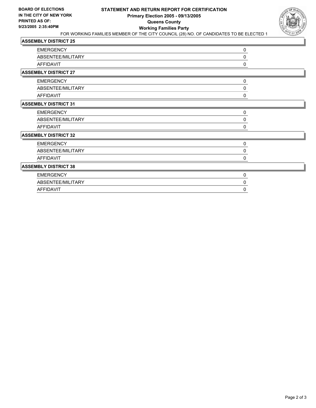

| <b>EMERGENCY</b>            | 0           |  |
|-----------------------------|-------------|--|
| ABSENTEE/MILITARY           | 0           |  |
| AFFIDAVIT                   | 0           |  |
| <b>ASSEMBLY DISTRICT 27</b> |             |  |
| <b>EMERGENCY</b>            | 0           |  |
| ABSENTEE/MILITARY           | 0           |  |
| AFFIDAVIT                   | 0           |  |
| <b>ASSEMBLY DISTRICT 31</b> |             |  |
| <b>EMERGENCY</b>            | $\mathbf 0$ |  |
| ABSENTEE/MILITARY           | 0           |  |
| <b>AFFIDAVIT</b>            | 0           |  |
| <b>ASSEMBLY DISTRICT 32</b> |             |  |
| <b>EMERGENCY</b>            | 0           |  |
| ABSENTEE/MILITARY           | 0           |  |
| <b>AFFIDAVIT</b>            | 0           |  |
| <b>ASSEMBLY DISTRICT 38</b> |             |  |
| <b>EMERGENCY</b>            | 0           |  |
| ABSENTEE/MILITARY           | 0           |  |
| <b>AFFIDAVIT</b>            | 0           |  |
|                             |             |  |